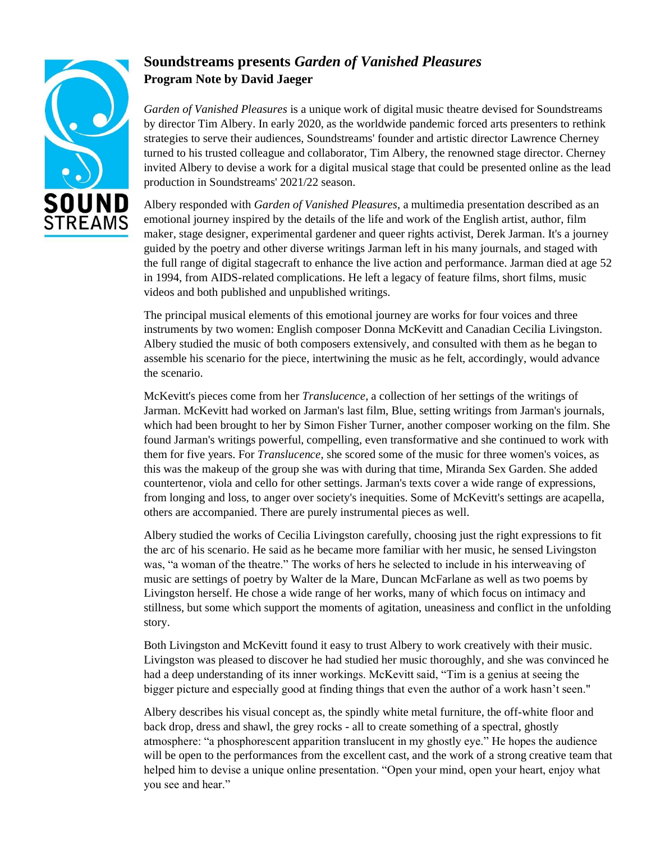

# **Soundstreams presents** *Garden of Vanished Pleasures* **Program Note by David Jaeger**

*Garden of Vanished Pleasures* is a unique work of digital music theatre devised for Soundstreams by director Tim Albery. In early 2020, as the worldwide pandemic forced arts presenters to rethink strategies to serve their audiences, Soundstreams' founder and artistic director Lawrence Cherney turned to his trusted colleague and collaborator, Tim Albery, the renowned stage director. Cherney invited Albery to devise a work for a digital musical stage that could be presented online as the lead production in Soundstreams' 2021/22 season.

Albery responded with *Garden of Vanished Pleasures*, a multimedia presentation described as an emotional journey inspired by the details of the life and work of the English artist, author, film maker, stage designer, experimental gardener and queer rights activist, Derek Jarman. It's a journey guided by the poetry and other diverse writings Jarman left in his many journals, and staged with the full range of digital stagecraft to enhance the live action and performance. Jarman died at age 52 in 1994, from AIDS-related complications. He left a legacy of feature films, short films, music videos and both published and unpublished writings.

The principal musical elements of this emotional journey are works for four voices and three instruments by two women: English composer Donna McKevitt and Canadian Cecilia Livingston. Albery studied the music of both composers extensively, and consulted with them as he began to assemble his scenario for the piece, intertwining the music as he felt, accordingly, would advance the scenario.

McKevitt's pieces come from her *Translucence*, a collection of her settings of the writings of Jarman. McKevitt had worked on Jarman's last film, Blue, setting writings from Jarman's journals, which had been brought to her by Simon Fisher Turner, another composer working on the film. She found Jarman's writings powerful, compelling, even transformative and she continued to work with them for five years. For *Translucence*, she scored some of the music for three women's voices, as this was the makeup of the group she was with during that time, Miranda Sex Garden. She added countertenor, viola and cello for other settings. Jarman's texts cover a wide range of expressions, from longing and loss, to anger over society's inequities. Some of McKevitt's settings are acapella, others are accompanied. There are purely instrumental pieces as well.

Albery studied the works of Cecilia Livingston carefully, choosing just the right expressions to fit the arc of his scenario. He said as he became more familiar with her music, he sensed Livingston was, "a woman of the theatre." The works of hers he selected to include in his interweaving of music are settings of poetry by Walter de la Mare, Duncan McFarlane as well as two poems by Livingston herself. He chose a wide range of her works, many of which focus on intimacy and stillness, but some which support the moments of agitation, uneasiness and conflict in the unfolding story.

Both Livingston and McKevitt found it easy to trust Albery to work creatively with their music. Livingston was pleased to discover he had studied her music thoroughly, and she was convinced he had a deep understanding of its inner workings. McKevitt said, "Tim is a genius at seeing the bigger picture and especially good at finding things that even the author of a work hasn't seen."

Albery describes his visual concept as, the spindly white metal furniture, the off-white floor and back drop, dress and shawl, the grey rocks - all to create something of a spectral, ghostly atmosphere: "a phosphorescent apparition translucent in my ghostly eye." He hopes the audience will be open to the performances from the excellent cast, and the work of a strong creative team that helped him to devise a unique online presentation. "Open your mind, open your heart, enjoy what you see and hear."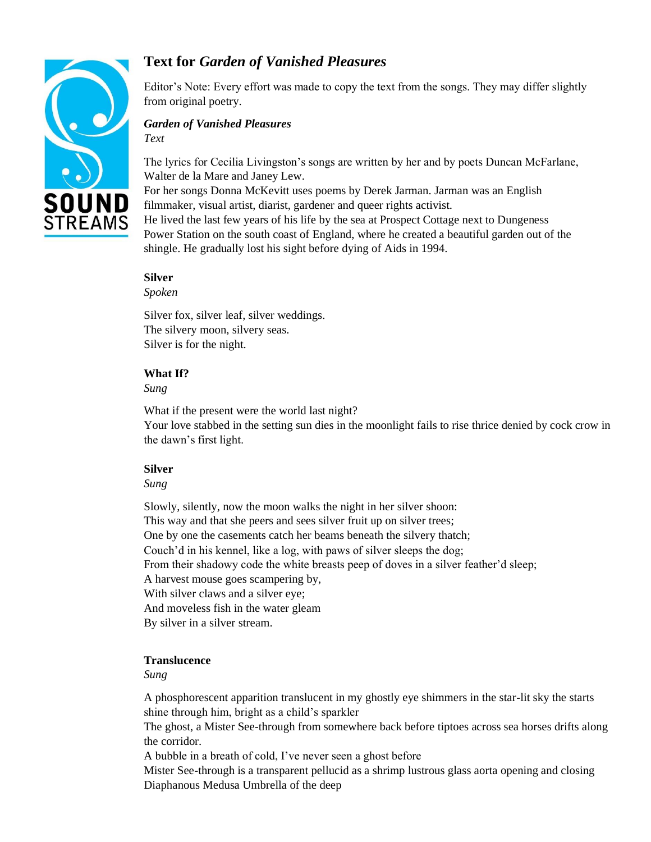

# **Text for** *Garden of Vanished Pleasures*

Editor's Note: Every effort was made to copy the text from the songs. They may differ slightly from original poetry.

## *Garden of Vanished Pleasures*

*Text*

The lyrics for Cecilia Livingston's songs are written by her and by poets Duncan McFarlane, Walter de la Mare and Janey Lew.

For her songs Donna McKevitt uses poems by Derek Jarman. Jarman was an English filmmaker, visual artist, diarist, gardener and queer rights activist.

He lived the last few years of his life by the sea at Prospect Cottage next to Dungeness Power Station on the south coast of England, where he created a beautiful garden out of the shingle. He gradually lost his sight before dying of Aids in 1994.

#### **Silver**

*Spoken* 

Silver fox, silver leaf, silver weddings. The silvery moon, silvery seas. Silver is for the night.

#### **What If?**

*Sung* 

What if the present were the world last night?

Your love stabbed in the setting sun dies in the moonlight fails to rise thrice denied by cock crow in the dawn's first light.

## **Silver**

*Sung* 

Slowly, silently, now the moon walks the night in her silver shoon: This way and that she peers and sees silver fruit up on silver trees; One by one the casements catch her beams beneath the silvery thatch; Couch'd in his kennel, like a log, with paws of silver sleeps the dog; From their shadowy code the white breasts peep of doves in a silver feather'd sleep; A harvest mouse goes scampering by, With silver claws and a silver eye; And moveless fish in the water gleam By silver in a silver stream.

## **Translucence**

*Sung* 

A phosphorescent apparition translucent in my ghostly eye shimmers in the star-lit sky the starts shine through him, bright as a child's sparkler

The ghost, a Mister See-through from somewhere back before tiptoes across sea horses drifts along the corridor.

A bubble in a breath of cold, I've never seen a ghost before

Mister See-through is a transparent pellucid as a shrimp lustrous glass aorta opening and closing Diaphanous Medusa Umbrella of the deep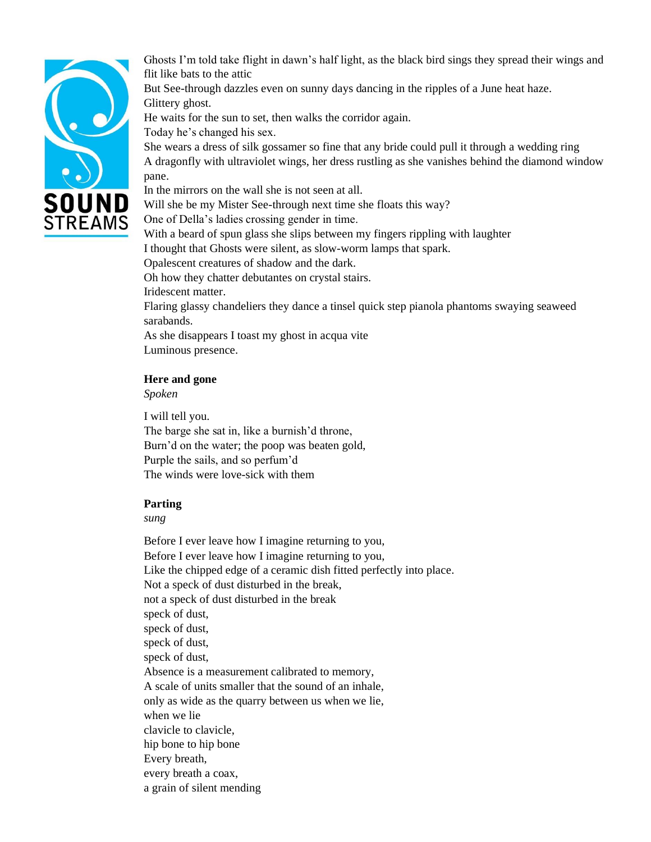

Ghosts I'm told take flight in dawn's half light, as the black bird sings they spread their wings and flit like bats to the attic

But See-through dazzles even on sunny days dancing in the ripples of a June heat haze. Glittery ghost.

He waits for the sun to set, then walks the corridor again.

Today he's changed his sex.

She wears a dress of silk gossamer so fine that any bride could pull it through a wedding ring A dragonfly with ultraviolet wings, her dress rustling as she vanishes behind the diamond window pane.

In the mirrors on the wall she is not seen at all.

Will she be my Mister See-through next time she floats this way?

One of Della's ladies crossing gender in time.

With a beard of spun glass she slips between my fingers rippling with laughter

I thought that Ghosts were silent, as slow-worm lamps that spark.

Opalescent creatures of shadow and the dark.

Oh how they chatter debutantes on crystal stairs.

Iridescent matter.

Flaring glassy chandeliers they dance a tinsel quick step pianola phantoms swaying seaweed sarabands.

As she disappears I toast my ghost in acqua vite

Luminous presence.

#### **Here and gone**

*Spoken* 

I will tell you. The barge she sat in, like a burnish'd throne, Burn'd on the water; the poop was beaten gold, Purple the sails, and so perfum'd The winds were love-sick with them

#### **Parting**

#### *sung*

Before I ever leave how I imagine returning to you, Before I ever leave how I imagine returning to you, Like the chipped edge of a ceramic dish fitted perfectly into place. Not a speck of dust disturbed in the break, not a speck of dust disturbed in the break speck of dust, speck of dust, speck of dust, speck of dust, Absence is a measurement calibrated to memory, A scale of units smaller that the sound of an inhale, only as wide as the quarry between us when we lie, when we lie clavicle to clavicle, hip bone to hip bone Every breath, every breath a coax, a grain of silent mending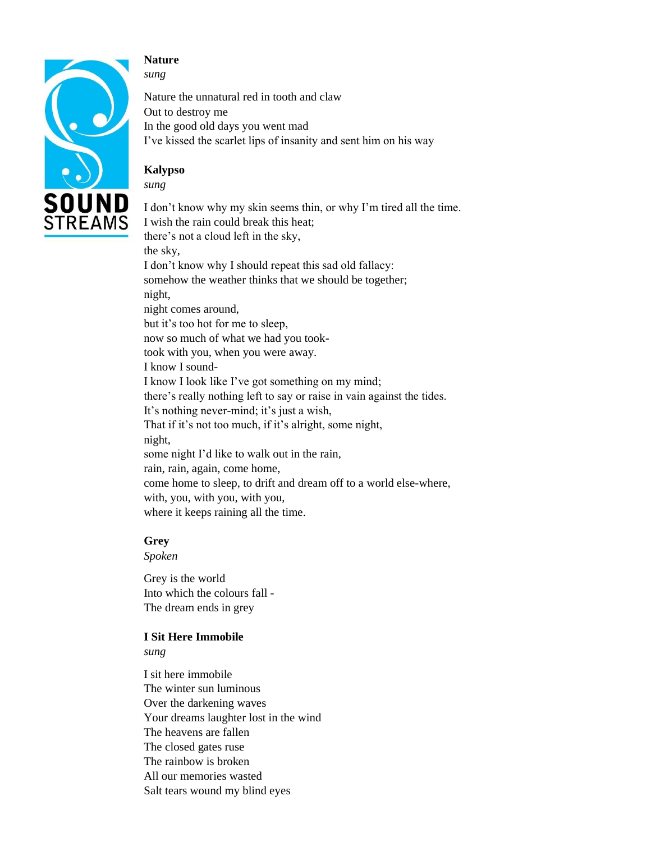

#### **Nature**  *sung*

Nature the unnatural red in tooth and claw Out to destroy me In the good old days you went mad I've kissed the scarlet lips of insanity and sent him on his way

## **Kalypso**

*sung* 

I don't know why my skin seems thin, or why I'm tired all the time. I wish the rain could break this heat; there's not a cloud left in the sky, the sky, I don't know why I should repeat this sad old fallacy: somehow the weather thinks that we should be together; night, night comes around, but it's too hot for me to sleep, now so much of what we had you tooktook with you, when you were away. I know I sound-I know I look like I've got something on my mind; there's really nothing left to say or raise in vain against the tides. It's nothing never-mind; it's just a wish, That if it's not too much, if it's alright, some night, night, some night I'd like to walk out in the rain, rain, rain, again, come home, come home to sleep, to drift and dream off to a world else-where, with, you, with you, with you, where it keeps raining all the time.

## **Grey**

*Spoken* 

Grey is the world Into which the colours fall - The dream ends in grey

## **I Sit Here Immobile**

*sung* 

I sit here immobile The winter sun luminous Over the darkening waves Your dreams laughter lost in the wind The heavens are fallen The closed gates ruse The rainbow is broken All our memories wasted Salt tears wound my blind eyes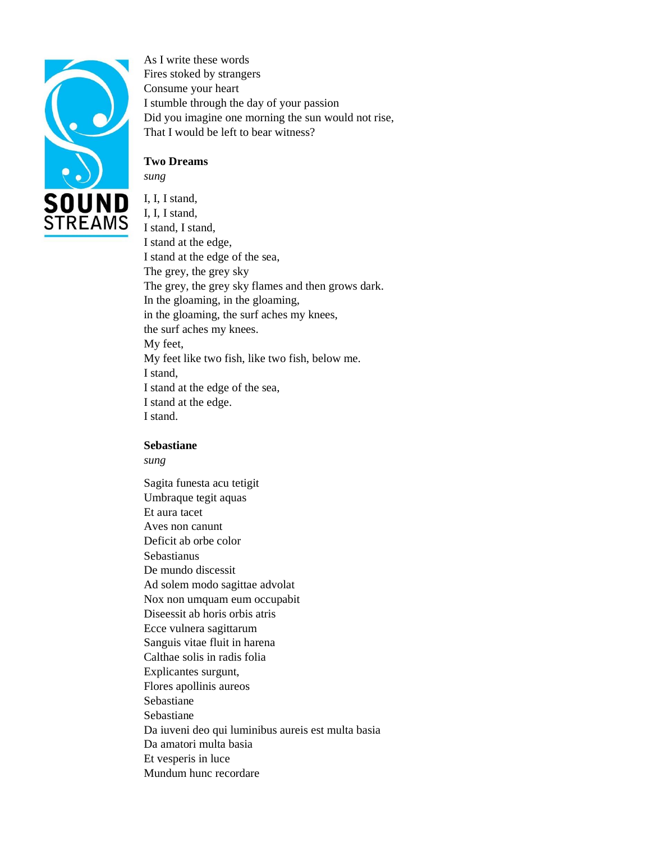

As I write these words Fires stoked by strangers Consume your heart I stumble through the day of your passion Did you imagine one morning the sun would not rise, That I would be left to bear witness?

## **Two Dreams**

*sung* 

I, I, I stand, I, I, I stand, I stand, I stand, I stand at the edge, I stand at the edge of the sea, The grey, the grey sky The grey, the grey sky flames and then grows dark. In the gloaming, in the gloaming, in the gloaming, the surf aches my knees, the surf aches my knees. My feet, My feet like two fish, like two fish, below me. I stand, I stand at the edge of the sea, I stand at the edge. I stand.

#### **Sebastiane**

*sung* 

Sagita funesta acu tetigit Umbraque tegit aquas Et aura tacet Aves non canunt Deficit ab orbe color Sebastianus De mundo discessit Ad solem modo sagittae advolat Nox non umquam eum occupabit Diseessit ab horis orbis atris Ecce vulnera sagittarum Sanguis vitae fluit in harena Calthae solis in radis folia Explicantes surgunt, Flores apollinis aureos Sebastiane Sebastiane Da iuveni deo qui luminibus aureis est multa basia Da amatori multa basia Et vesperis in luce Mundum hunc recordare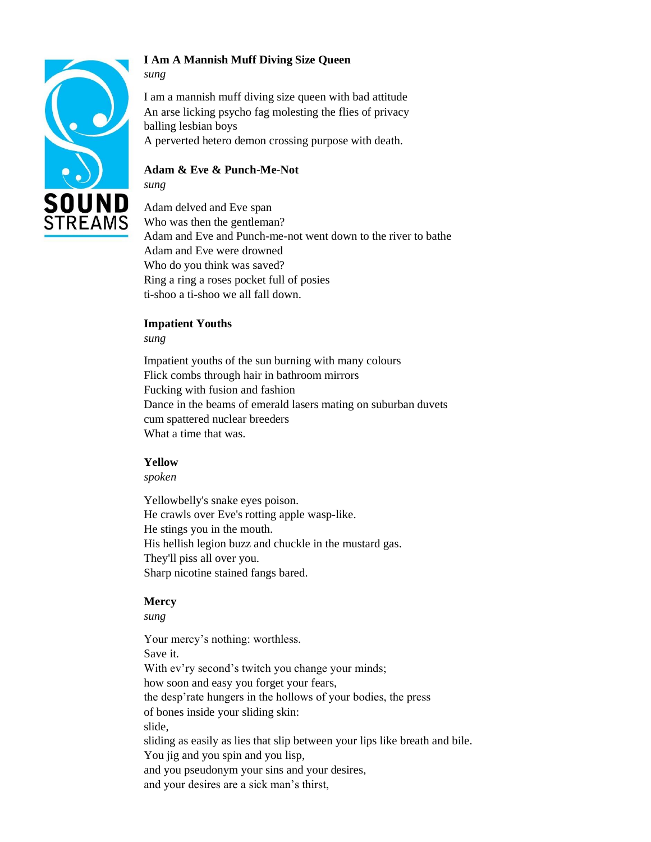

## **I Am A Mannish Muff Diving Size Queen**

I am a mannish muff diving size queen with bad attitude An arse licking psycho fag molesting the flies of privacy balling lesbian boys A perverted hetero demon crossing purpose with death.

## **Adam & Eve & Punch-Me-Not**

*sung*

*sung* 

Adam delved and Eve span Who was then the gentleman? Adam and Eve and Punch-me-not went down to the river to bathe Adam and Eve were drowned Who do you think was saved? Ring a ring a roses pocket full of posies ti-shoo a ti-shoo we all fall down.

#### **Impatient Youths**

*sung*

Impatient youths of the sun burning with many colours Flick combs through hair in bathroom mirrors Fucking with fusion and fashion Dance in the beams of emerald lasers mating on suburban duvets cum spattered nuclear breeders What a time that was.

#### **Yellow**

*spoken* 

Yellowbelly's snake eyes poison. He crawls over Eve's rotting apple wasp-like. He stings you in the mouth. His hellish legion buzz and chuckle in the mustard gas. They'll piss all over you. Sharp nicotine stained fangs bared.

## **Mercy**

*sung* 

Your mercy's nothing: worthless. Save it. With ev'ry second's twitch you change your minds; how soon and easy you forget your fears, the desp'rate hungers in the hollows of your bodies, the press of bones inside your sliding skin: slide, sliding as easily as lies that slip between your lips like breath and bile. You jig and you spin and you lisp, and you pseudonym your sins and your desires, and your desires are a sick man's thirst,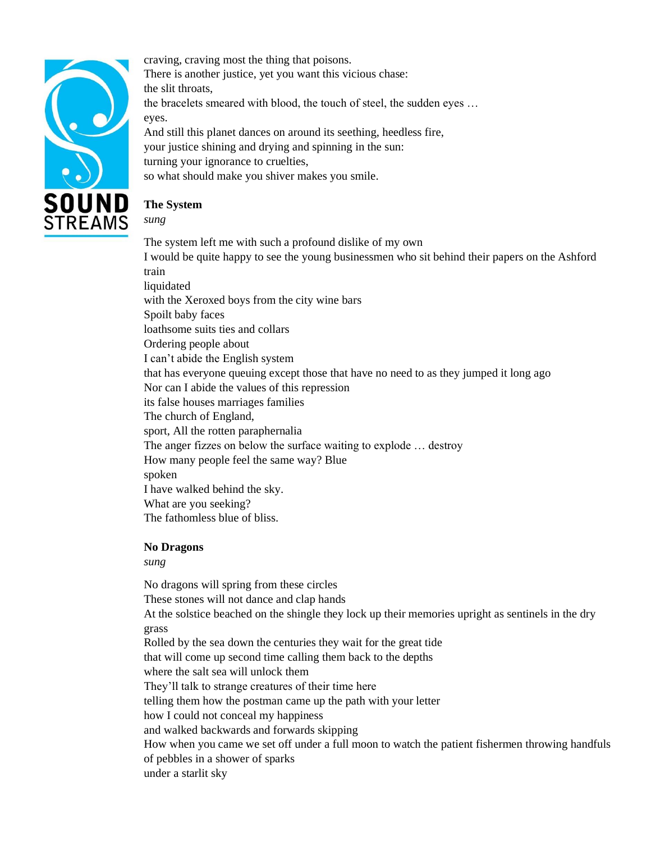

craving, craving most the thing that poisons. There is another justice, yet you want this vicious chase: the slit throats, the bracelets smeared with blood, the touch of steel, the sudden eyes … eyes. And still this planet dances on around its seething, heedless fire, your justice shining and drying and spinning in the sun: turning your ignorance to cruelties, so what should make you shiver makes you smile.

# **The System**

*sung* 

The system left me with such a profound dislike of my own I would be quite happy to see the young businessmen who sit behind their papers on the Ashford train liquidated with the Xeroxed boys from the city wine bars Spoilt baby faces loathsome suits ties and collars Ordering people about I can't abide the English system that has everyone queuing except those that have no need to as they jumped it long ago Nor can I abide the values of this repression its false houses marriages families The church of England, sport, All the rotten paraphernalia The anger fizzes on below the surface waiting to explode … destroy How many people feel the same way? Blue spoken I have walked behind the sky. What are you seeking? The fathomless blue of bliss.

## **No Dragons**

*sung* 

No dragons will spring from these circles These stones will not dance and clap hands At the solstice beached on the shingle they lock up their memories upright as sentinels in the dry grass Rolled by the sea down the centuries they wait for the great tide that will come up second time calling them back to the depths where the salt sea will unlock them They'll talk to strange creatures of their time here telling them how the postman came up the path with your letter how I could not conceal my happiness and walked backwards and forwards skipping How when you came we set off under a full moon to watch the patient fishermen throwing handfuls of pebbles in a shower of sparks under a starlit sky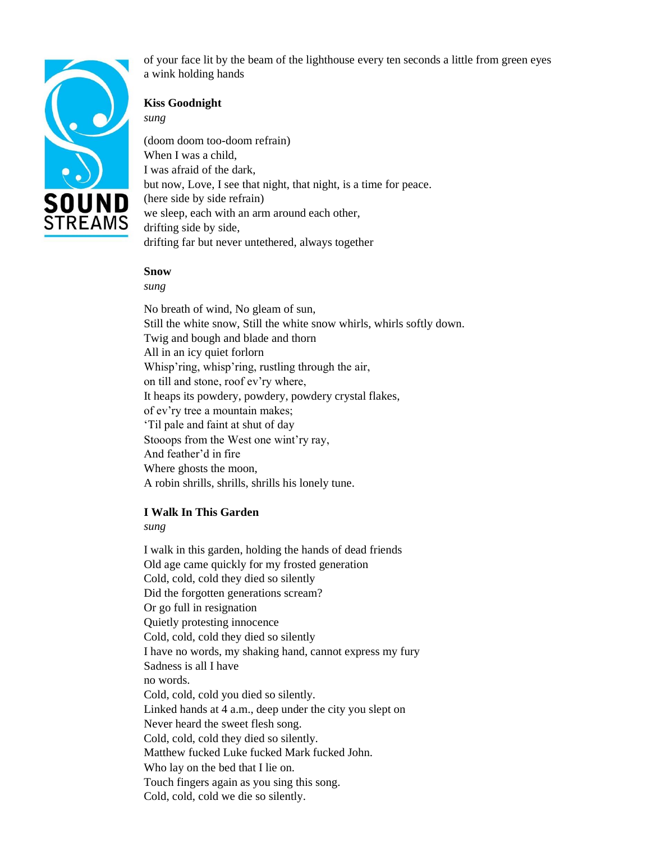

of your face lit by the beam of the lighthouse every ten seconds a little from green eyes a wink holding hands

## **Kiss Goodnight**

*sung* 

(doom doom too-doom refrain) When I was a child. I was afraid of the dark, but now, Love, I see that night, that night, is a time for peace. (here side by side refrain) we sleep, each with an arm around each other, drifting side by side, drifting far but never untethered, always together

#### **Snow**

*sung* 

No breath of wind, No gleam of sun, Still the white snow, Still the white snow whirls, whirls softly down. Twig and bough and blade and thorn All in an icy quiet forlorn Whisp'ring, whisp'ring, rustling through the air, on till and stone, roof ev'ry where, It heaps its powdery, powdery, powdery crystal flakes, of ev'ry tree a mountain makes; 'Til pale and faint at shut of day Stooops from the West one wint'ry ray, And feather'd in fire Where ghosts the moon, A robin shrills, shrills, shrills his lonely tune.

## **I Walk In This Garden**

*sung* 

I walk in this garden, holding the hands of dead friends Old age came quickly for my frosted generation Cold, cold, cold they died so silently Did the forgotten generations scream? Or go full in resignation Quietly protesting innocence Cold, cold, cold they died so silently I have no words, my shaking hand, cannot express my fury Sadness is all I have no words. Cold, cold, cold you died so silently. Linked hands at 4 a.m., deep under the city you slept on Never heard the sweet flesh song. Cold, cold, cold they died so silently. Matthew fucked Luke fucked Mark fucked John. Who lay on the bed that I lie on. Touch fingers again as you sing this song. Cold, cold, cold we die so silently.